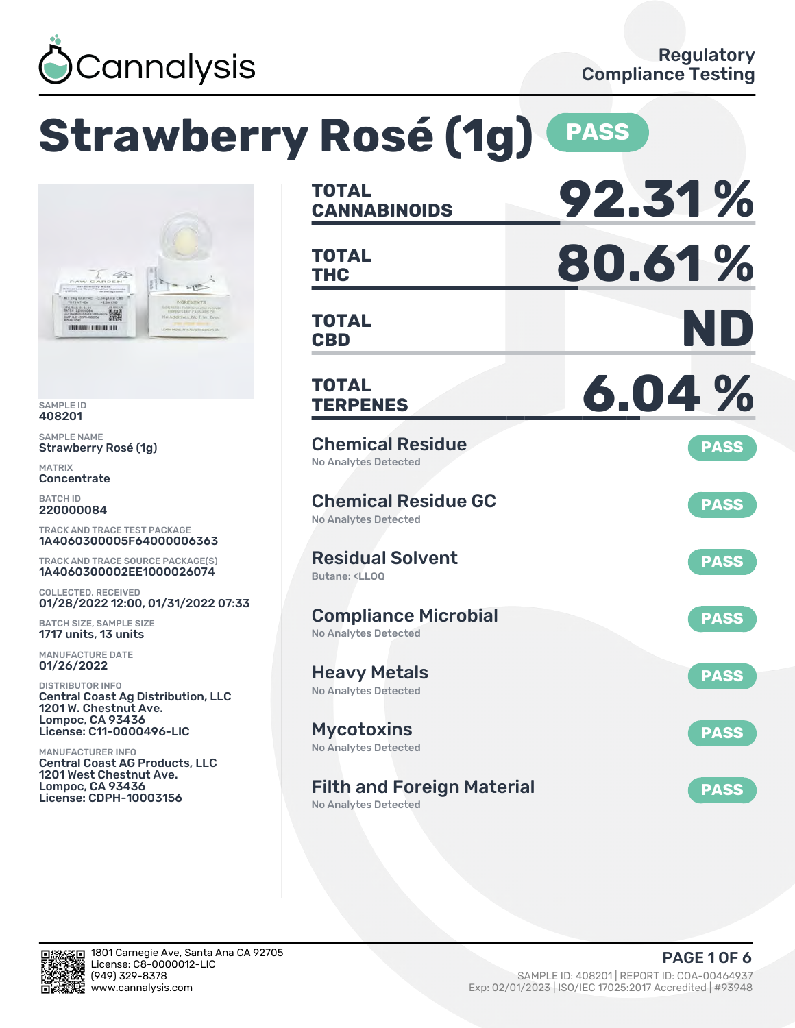

### **Strawberry Rosé (1g) <b>PASS TOTAL CANNABINOIDS 92.31 % TOTAL THC 80.61 % TOTAL CBD ND TOTAL TERPENES 6.04 %** Chemical Residue No Analytes Detected **PASS** Chemical Residue GC No Analytes Detected **PASS** Residual Solvent Butane: <LLOQ **PASS** Compliance Microbial No Analytes Detected **PASS** Heavy Metals No Analytes Detected **PASS** Mycotoxins No Analytes Detected **PASS** Filth and Foreign Material No Analytes Detected **PASS** TRACK AND TRACE TEST PACKAGE 1A4060300005F64000006363 TRACK AND TRACE SOURCE PACKAGE(S) 1A4060300002EE1000026074 01/28/2022 12:00, 01/31/2022 07:33 Central Coast Ag Distribution, LLC License: C11-0000496-LIC Central Coast AG Products, LLC 1201 West Chestnut Ave. License: CDPH-10003156

SAMPLE ID 408201 SAMPLE NAME

MATRIX **Concentrate** BATCH ID 220000084

Strawberry Rosé (1g)

撇 

COLLECTED, RECEIVED

BATCH SIZE, SAMPLE SIZE 1717 units, 13 units MANUFACTURE DATE 01/26/2022 DISTRIBUTOR INFO

1201 W. Chestnut Ave. Lompoc, CA 93436

MANUFACTURER INFO

Lompoc, CA 93436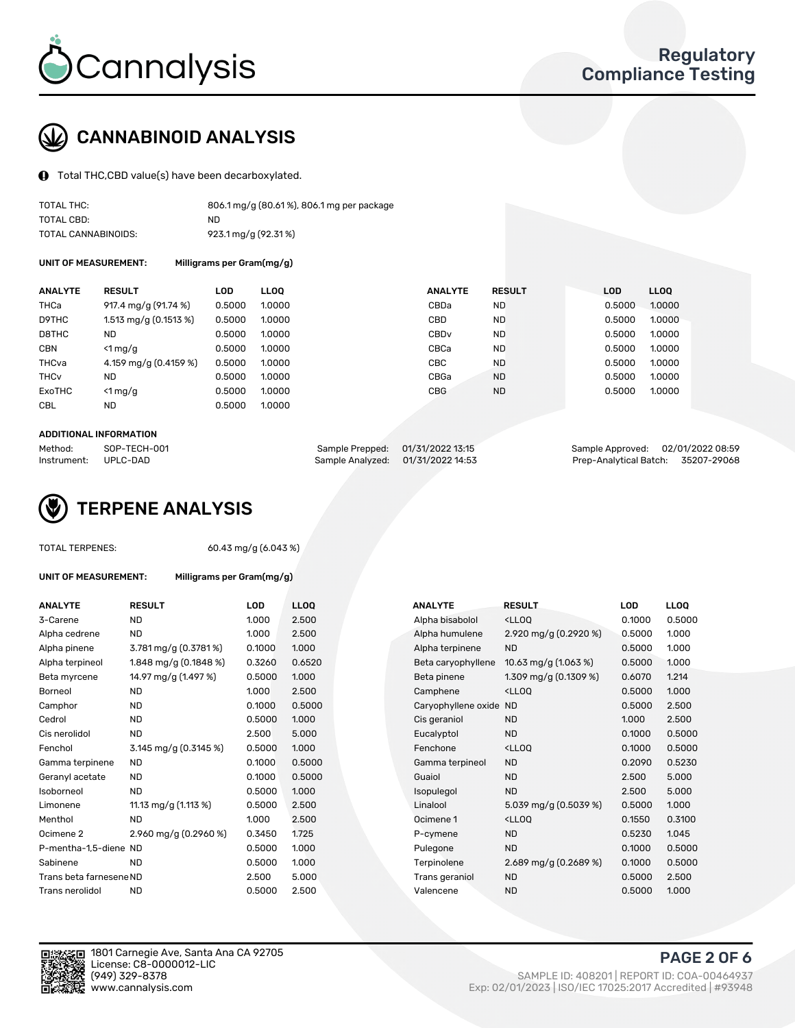

# CANNABINOID ANALYSIS

Total THC,CBD value(s) have been decarboxylated.

| TOTAL THC:          | 806.1 mg/g (80.61%), 806.1 mg per package |
|---------------------|-------------------------------------------|
| TOTAL CBD:          | ND                                        |
| TOTAL CANNABINOIDS: | 923.1 mg/g (92.31%)                       |

UNIT OF MEASUREMENT: Milligrams per Gram(mg/g)

| <b>ANALYTE</b>         | <b>RESULT</b>           | LOD    | <b>LLOO</b> | <b>ANALYTE</b>   | <b>RESULT</b> | LOD    | <b>LLOO</b> |
|------------------------|-------------------------|--------|-------------|------------------|---------------|--------|-------------|
| THCa                   | 917.4 mg/g (91.74 %)    | 0.5000 | 1.0000      | CBDa             | <b>ND</b>     | 0.5000 | 1.0000      |
| D9THC                  | 1.513 mg/g $(0.1513\%)$ | 0.5000 | 1.0000      | CBD              | <b>ND</b>     | 0.5000 | 1.0000      |
| D8THC                  | <b>ND</b>               | 0.5000 | 1.0000      | CBD <sub>v</sub> | <b>ND</b>     | 0.5000 | 1.0000      |
| <b>CBN</b>             | $\leq 1$ mg/g           | 0.5000 | 1.0000      | CBCa             | <b>ND</b>     | 0.5000 | 1.0000      |
| THCva                  | 4.159 mg/g (0.4159 %)   | 0.5000 | 1.0000      | CBC              | <b>ND</b>     | 0.5000 | 1.0000      |
| <b>THC<sub>v</sub></b> | ND                      | 0.5000 | 1.0000      | CBGa             | <b>ND</b>     | 0.5000 | 1.0000      |
| ExoTHC                 | $<$ 1 mg/g              | 0.5000 | 1.0000      | <b>CBG</b>       | <b>ND</b>     | 0.5000 | 1.0000      |
| <b>CBL</b>             | ND                      | 0.5000 | 1.0000      |                  |               |        |             |

#### ADDITIONAL INFORMATION

| Method:              | SOP-TECH-001 | Sample Prepped: 01/31/2022 13:15  | Sample Approved: 02/01/2022 08:59  |  |
|----------------------|--------------|-----------------------------------|------------------------------------|--|
| Instrument: UPLC-DAD |              | Sample Analyzed: 01/31/2022 14:53 | Prep-Analytical Batch: 35207-29068 |  |



TOTAL TERPENES: 60.43 mg/g (6.043 %)

| UNIT OF MEASUREMENT: | Milligrams per Gram(mg/g) |
|----------------------|---------------------------|
|                      |                           |

| <b>ANALYTE</b>          | <b>RESULT</b>          | <b>LOD</b> | <b>LLOQ</b> | <b>ANALYTE</b>         | <b>RESULT</b>                                      | <b>LOD</b> | <b>LLOQ</b> |
|-------------------------|------------------------|------------|-------------|------------------------|----------------------------------------------------|------------|-------------|
| 3-Carene                | <b>ND</b>              | 1.000      | 2.500       | Alpha bisabolol        | <ll0q< td=""><td>0.1000</td><td>0.500</td></ll0q<> | 0.1000     | 0.500       |
| Alpha cedrene           | <b>ND</b>              | 1.000      | 2.500       | Alpha humulene         | 2.920 mg/g (0.2920 %)                              | 0.5000     | 1.000       |
| Alpha pinene            | 3.781 mg/g (0.3781%)   | 0.1000     | 1.000       | Alpha terpinene        | <b>ND</b>                                          | 0.5000     | 1.000       |
| Alpha terpineol         | 1.848 mg/g $(0.1848%)$ | 0.3260     | 0.6520      | Beta caryophyllene     | 10.63 mg/g $(1.063\%)$                             | 0.5000     | 1.000       |
| Beta myrcene            | 14.97 mg/g (1.497 %)   | 0.5000     | 1.000       | Beta pinene            | 1.309 mg/g $(0.1309\%)$                            | 0.6070     | 1.214       |
| Borneol                 | <b>ND</b>              | 1.000      | 2.500       | Camphene               | <lloq< td=""><td>0.5000</td><td>1.000</td></lloq<> | 0.5000     | 1.000       |
| Camphor                 | <b>ND</b>              | 0.1000     | 0.5000      | Caryophyllene oxide ND |                                                    | 0.5000     | 2.500       |
| Cedrol                  | <b>ND</b>              | 0.5000     | 1.000       | Cis geraniol           | <b>ND</b>                                          | 1.000      | 2.500       |
| Cis nerolidol           | <b>ND</b>              | 2.500      | 5.000       | Eucalyptol             | <b>ND</b>                                          | 0.1000     | 0.500       |
| Fenchol                 | 3.145 mg/g (0.3145 %)  | 0.5000     | 1.000       | Fenchone               | <lloq< td=""><td>0.1000</td><td>0.500</td></lloq<> | 0.1000     | 0.500       |
| Gamma terpinene         | <b>ND</b>              | 0.1000     | 0.5000      | Gamma terpineol        | <b>ND</b>                                          | 0.2090     | 0.523       |
| Geranyl acetate         | <b>ND</b>              | 0.1000     | 0.5000      | Guaiol                 | <b>ND</b>                                          | 2.500      | 5.000       |
| Isoborneol              | <b>ND</b>              | 0.5000     | 1.000       | Isopulegol             | <b>ND</b>                                          | 2.500      | 5.000       |
| Limonene                | 11.13 mg/g (1.113 %)   | 0.5000     | 2.500       | Linalool               | 5.039 mg/g (0.5039 %)                              | 0.5000     | 1.000       |
| Menthol                 | ND.                    | 1.000      | 2.500       | Ocimene 1              | <lloq< td=""><td>0.1550</td><td>0.310</td></lloq<> | 0.1550     | 0.310       |
| Ocimene 2               | 2.960 mg/g (0.2960 %)  | 0.3450     | 1.725       | P-cymene               | <b>ND</b>                                          | 0.5230     | 1.045       |
| P-mentha-1,5-diene ND   |                        | 0.5000     | 1.000       | Pulegone               | <b>ND</b>                                          | 0.1000     | 0.500       |
| Sabinene                | <b>ND</b>              | 0.5000     | 1.000       | Terpinolene            | 2.689 mg/g (0.2689 %)                              | 0.1000     | 0.500       |
| Trans beta farnesene ND |                        | 2.500      | 5.000       | Trans geraniol         | <b>ND</b>                                          | 0.5000     | 2.500       |
| Trans nerolidol         | <b>ND</b>              | 0.5000     | 2.500       | Valencene              | <b>ND</b>                                          | 0.5000     | 1.000       |

| ANALYTE                 | <b>RESULT</b>          | <b>LOD</b> | <b>LLOQ</b> | <b>ANALYTE</b>         | <b>RESULT</b>                                       | <b>LOD</b> | <b>LLOQ</b> |
|-------------------------|------------------------|------------|-------------|------------------------|-----------------------------------------------------|------------|-------------|
| 3-Carene                | <b>ND</b>              | 1.000      | 2.500       | Alpha bisabolol        | <lloq< td=""><td>0.1000</td><td>0.5000</td></lloq<> | 0.1000     | 0.5000      |
| Alpha cedrene           | <b>ND</b>              | 1.000      | 2.500       | Alpha humulene         | 2.920 mg/g (0.2920 %)                               | 0.5000     | 1.000       |
| Alpha pinene            | 3.781 mg/g (0.3781%)   | 0.1000     | 1.000       | Alpha terpinene        | <b>ND</b>                                           | 0.5000     | 1.000       |
| Alpha terpineol         | 1.848 mg/g $(0.1848%)$ | 0.3260     | 0.6520      | Beta caryophyllene     | 10.63 mg/g $(1.063\%)$                              | 0.5000     | 1.000       |
| Beta myrcene            | 14.97 mg/g (1.497 %)   | 0.5000     | 1.000       | Beta pinene            | 1.309 mg/g (0.1309 %)                               | 0.6070     | 1.214       |
| Borneol                 | <b>ND</b>              | 1.000      | 2.500       | Camphene               | <lloq< td=""><td>0.5000</td><td>1.000</td></lloq<>  | 0.5000     | 1.000       |
| Camphor                 | <b>ND</b>              | 0.1000     | 0.5000      | Caryophyllene oxide ND |                                                     | 0.5000     | 2.500       |
| Cedrol                  | <b>ND</b>              | 0.5000     | 1.000       | Cis geraniol           | <b>ND</b>                                           | 1.000      | 2.500       |
| Cis nerolidol           | <b>ND</b>              | 2.500      | 5.000       | Eucalyptol             | <b>ND</b>                                           | 0.1000     | 0.5000      |
| Fenchol                 | 3.145 mg/g $(0.3145%)$ | 0.5000     | 1.000       | Fenchone               | <lloq< td=""><td>0.1000</td><td>0.5000</td></lloq<> | 0.1000     | 0.5000      |
| Gamma terpinene         | <b>ND</b>              | 0.1000     | 0.5000      | Gamma terpineol        | <b>ND</b>                                           | 0.2090     | 0.5230      |
| Geranyl acetate         | <b>ND</b>              | 0.1000     | 0.5000      | Guaiol                 | <b>ND</b>                                           | 2.500      | 5.000       |
| Isoborneol              | <b>ND</b>              | 0.5000     | 1.000       | Isopulegol             | <b>ND</b>                                           | 2.500      | 5.000       |
| Limonene                | 11.13 mg/g (1.113 %)   | 0.5000     | 2.500       | Linalool               | 5.039 mg/g (0.5039 %)                               | 0.5000     | 1.000       |
| Menthol                 | <b>ND</b>              | 1.000      | 2.500       | Ocimene 1              | <ll0q< td=""><td>0.1550</td><td>0.3100</td></ll0q<> | 0.1550     | 0.3100      |
| Ocimene 2               | 2.960 mg/g (0.2960 %)  | 0.3450     | 1.725       | P-cymene               | <b>ND</b>                                           | 0.5230     | 1.045       |
| P-mentha-1,5-diene ND   |                        | 0.5000     | 1.000       | Pulegone               | <b>ND</b>                                           | 0.1000     | 0.5000      |
| Sabinene                | <b>ND</b>              | 0.5000     | 1.000       | Terpinolene            | 2.689 mg/g (0.2689 %)                               | 0.1000     | 0.5000      |
| Trans beta farnesene ND |                        | 2.500      | 5.000       | Trans geraniol         | <b>ND</b>                                           | 0.5000     | 2.500       |
| Trans nerolidol         | <b>ND</b>              | 0.5000     | 2.500       | Valencene              | <b>ND</b>                                           | 0.5000     | 1.000       |



1801 Carnegie Ave, Santa Ana CA 92705 License: C8-0000012-LIC<br>(949) 329-8378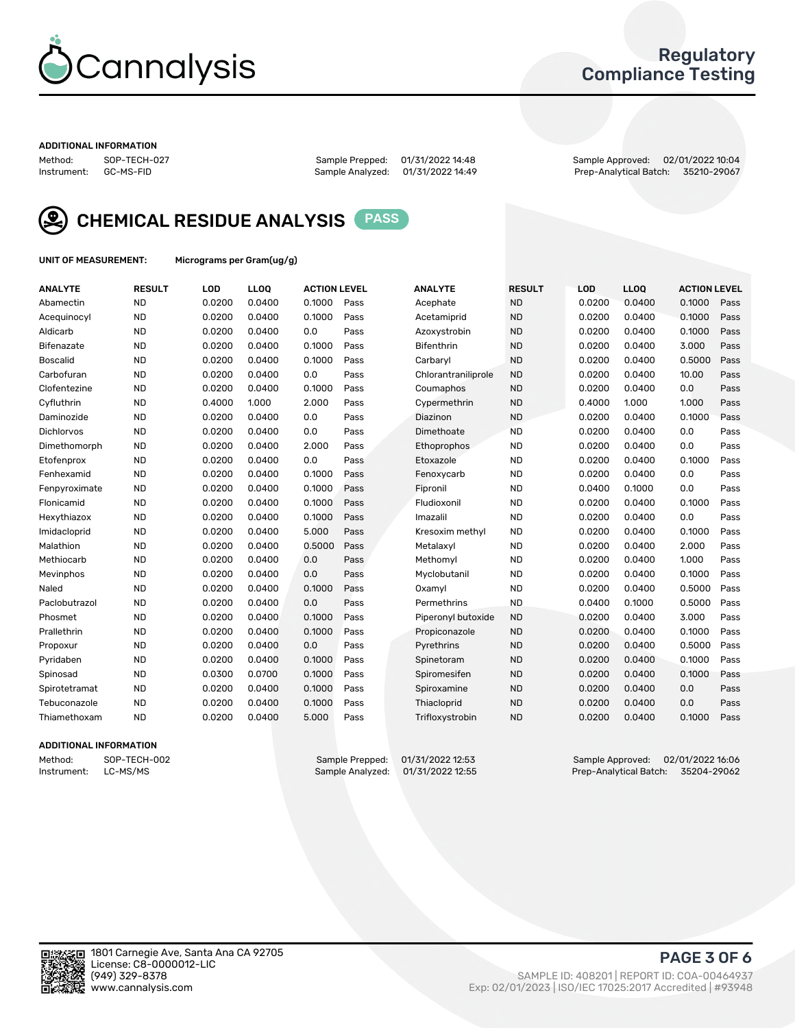

### Regulatory Compliance Testing

#### ADDITIONAL INFORMATION

Method: SOP-TECH-027 Sample Prepped: 01/31/2022 14:48 Sample Approved: 02/01/2022 10:04 Prep-Analytical Batch: 35210-29067



CHEMICAL RESIDUE ANALYSIS PASS

UNIT OF MEASUREMENT: Micrograms per Gram(ug/g)

| <b>ANALYTE</b>    | <b>RESULT</b> | LOD    | LL <sub>OO</sub> | <b>ACTION LEVEL</b> |      | <b>ANALYTE</b>      | <b>RESULT</b> | LOD    | <b>LLOQ</b> | <b>ACTION LEVEL</b> |      |
|-------------------|---------------|--------|------------------|---------------------|------|---------------------|---------------|--------|-------------|---------------------|------|
| Abamectin         | <b>ND</b>     | 0.0200 | 0.0400           | 0.1000              | Pass | Acephate            | <b>ND</b>     | 0.0200 | 0.0400      | 0.1000              | Pass |
| Acequinocyl       | <b>ND</b>     | 0.0200 | 0.0400           | 0.1000              | Pass | Acetamiprid         | <b>ND</b>     | 0.0200 | 0.0400      | 0.1000              | Pass |
| Aldicarb          | <b>ND</b>     | 0.0200 | 0.0400           | 0.0                 | Pass | Azoxystrobin        | <b>ND</b>     | 0.0200 | 0.0400      | 0.1000              | Pass |
| Bifenazate        | <b>ND</b>     | 0.0200 | 0.0400           | 0.1000              | Pass | <b>Bifenthrin</b>   | <b>ND</b>     | 0.0200 | 0.0400      | 3.000               | Pass |
| <b>Boscalid</b>   | <b>ND</b>     | 0.0200 | 0.0400           | 0.1000              | Pass | Carbaryl            | <b>ND</b>     | 0.0200 | 0.0400      | 0.5000              | Pass |
| Carbofuran        | <b>ND</b>     | 0.0200 | 0.0400           | 0.0                 | Pass | Chlorantraniliprole | <b>ND</b>     | 0.0200 | 0.0400      | 10.00               | Pass |
| Clofentezine      | <b>ND</b>     | 0.0200 | 0.0400           | 0.1000              | Pass | Coumaphos           | <b>ND</b>     | 0.0200 | 0.0400      | 0.0                 | Pass |
| Cyfluthrin        | <b>ND</b>     | 0.4000 | 1.000            | 2.000               | Pass | Cypermethrin        | <b>ND</b>     | 0.4000 | 1.000       | 1.000               | Pass |
| Daminozide        | <b>ND</b>     | 0.0200 | 0.0400           | 0.0                 | Pass | Diazinon            | <b>ND</b>     | 0.0200 | 0.0400      | 0.1000              | Pass |
| <b>Dichlorvos</b> | <b>ND</b>     | 0.0200 | 0.0400           | 0.0                 | Pass | Dimethoate          | <b>ND</b>     | 0.0200 | 0.0400      | 0.0                 | Pass |
| Dimethomorph      | <b>ND</b>     | 0.0200 | 0.0400           | 2.000               | Pass | <b>Ethoprophos</b>  | <b>ND</b>     | 0.0200 | 0.0400      | 0.0                 | Pass |
| Etofenprox        | <b>ND</b>     | 0.0200 | 0.0400           | 0.0                 | Pass | Etoxazole           | <b>ND</b>     | 0.0200 | 0.0400      | 0.1000              | Pass |
| Fenhexamid        | <b>ND</b>     | 0.0200 | 0.0400           | 0.1000              | Pass | Fenoxycarb          | <b>ND</b>     | 0.0200 | 0.0400      | 0.0                 | Pass |
| Fenpyroximate     | <b>ND</b>     | 0.0200 | 0.0400           | 0.1000              | Pass | Fipronil            | <b>ND</b>     | 0.0400 | 0.1000      | 0.0                 | Pass |
| Flonicamid        | <b>ND</b>     | 0.0200 | 0.0400           | 0.1000              | Pass | Fludioxonil         | <b>ND</b>     | 0.0200 | 0.0400      | 0.1000              | Pass |
| Hexythiazox       | <b>ND</b>     | 0.0200 | 0.0400           | 0.1000              | Pass | Imazalil            | <b>ND</b>     | 0.0200 | 0.0400      | 0.0                 | Pass |
| Imidacloprid      | <b>ND</b>     | 0.0200 | 0.0400           | 5.000               | Pass | Kresoxim methyl     | <b>ND</b>     | 0.0200 | 0.0400      | 0.1000              | Pass |
| Malathion         | <b>ND</b>     | 0.0200 | 0.0400           | 0.5000              | Pass | Metalaxyl           | <b>ND</b>     | 0.0200 | 0.0400      | 2.000               | Pass |
| Methiocarb        | <b>ND</b>     | 0.0200 | 0.0400           | 0.0                 | Pass | Methomyl            | <b>ND</b>     | 0.0200 | 0.0400      | 1.000               | Pass |
| Mevinphos         | <b>ND</b>     | 0.0200 | 0.0400           | 0.0                 | Pass | Myclobutanil        | <b>ND</b>     | 0.0200 | 0.0400      | 0.1000              | Pass |
| Naled             | <b>ND</b>     | 0.0200 | 0.0400           | 0.1000              | Pass | Oxamyl              | <b>ND</b>     | 0.0200 | 0.0400      | 0.5000              | Pass |
| Paclobutrazol     | <b>ND</b>     | 0.0200 | 0.0400           | 0.0                 | Pass | Permethrins         | <b>ND</b>     | 0.0400 | 0.1000      | 0.5000              | Pass |
| Phosmet           | <b>ND</b>     | 0.0200 | 0.0400           | 0.1000              | Pass | Piperonyl butoxide  | <b>ND</b>     | 0.0200 | 0.0400      | 3.000               | Pass |
| Prallethrin       | <b>ND</b>     | 0.0200 | 0.0400           | 0.1000              | Pass | Propiconazole       | <b>ND</b>     | 0.0200 | 0.0400      | 0.1000              | Pass |
| Propoxur          | <b>ND</b>     | 0.0200 | 0.0400           | 0.0                 | Pass | Pyrethrins          | <b>ND</b>     | 0.0200 | 0.0400      | 0.5000              | Pass |
| Pyridaben         | <b>ND</b>     | 0.0200 | 0.0400           | 0.1000              | Pass | Spinetoram          | <b>ND</b>     | 0.0200 | 0.0400      | 0.1000              | Pass |
| Spinosad          | <b>ND</b>     | 0.0300 | 0.0700           | 0.1000              | Pass | Spiromesifen        | <b>ND</b>     | 0.0200 | 0.0400      | 0.1000              | Pass |
| Spirotetramat     | <b>ND</b>     | 0.0200 | 0.0400           | 0.1000              | Pass | Spiroxamine         | <b>ND</b>     | 0.0200 | 0.0400      | 0.0                 | Pass |
| Tebuconazole      | <b>ND</b>     | 0.0200 | 0.0400           | 0.1000              | Pass | Thiacloprid         | <b>ND</b>     | 0.0200 | 0.0400      | 0.0                 | Pass |
| Thiamethoxam      | <b>ND</b>     | 0.0200 | 0.0400           | 5.000               | Pass | Trifloxystrobin     | <b>ND</b>     | 0.0200 | 0.0400      | 0.1000              | Pass |

### ADDITIONAL INFORMATION

Method: SOP-TECH-002 Sample Prepped: 01/31/2022 12:53 Sample Approved: 02/01/2022 16:06<br>Instrument: LC-MS/MS Sample Analyzed: 01/31/2022 12:55 Prep-Analytical Batch: 35204-29062 Prep-Analytical Batch: 35204-29062

PAGE 3 OF 6

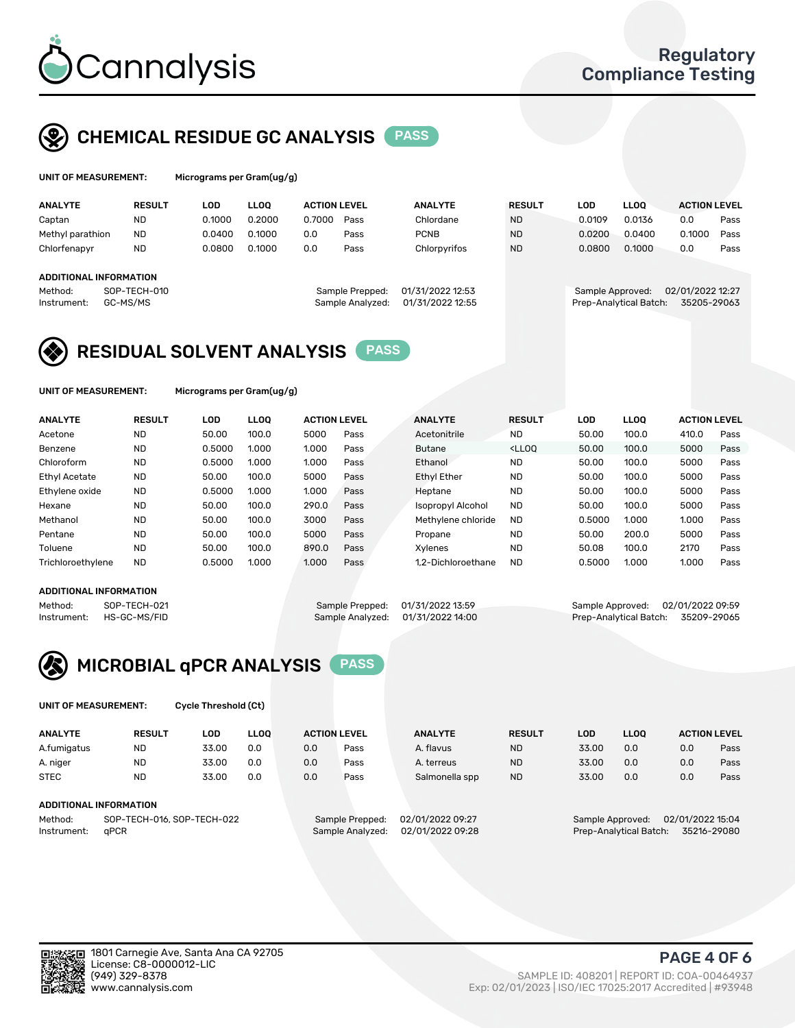

# CHEMICAL RESIDUE GC ANALYSIS PASS

| UNIT OF MEASUREMENT: |               | Micrograms per Gram(ug/g) |        |                     |                |               |        |             |                     |      |
|----------------------|---------------|---------------------------|--------|---------------------|----------------|---------------|--------|-------------|---------------------|------|
| <b>ANALYTE</b>       | <b>RESULT</b> | LOD                       | LOO.   | <b>ACTION LEVEL</b> | <b>ANALYTE</b> | <b>RESULT</b> | LOD    | <b>LLOO</b> | <b>ACTION LEVEL</b> |      |
| Cantan               | ND            | 0.1000                    | 0.2000 | 0.7000<br>Pass      | Chlordane      | <b>ND</b>     | 0.0109 | 0.0136      | 0.0                 | Pass |

| Captan                        | <b>ND</b>    | 0.1000 | 0.2000 | 0.7000 | Pass             | Chlordane        | <b>ND</b> | 0.0109 | 0.0136                 | 0.0              | Pass |
|-------------------------------|--------------|--------|--------|--------|------------------|------------------|-----------|--------|------------------------|------------------|------|
| Methyl parathion              | <b>ND</b>    | 0.0400 | 0.1000 | 0.0    | Pass             | <b>PCNB</b>      | <b>ND</b> | 0.0200 | 0.0400                 | 0.1000           | Pass |
| Chlorfenapyr                  | ND           | 0.0800 | 0.1000 | 0.0    | Pass             | Chlorpyrifos     | <b>ND</b> | 0.0800 | 0.1000                 | 0.0              | Pass |
|                               |              |        |        |        |                  |                  |           |        |                        |                  |      |
| <b>ADDITIONAL INFORMATION</b> |              |        |        |        |                  |                  |           |        |                        |                  |      |
| Method:                       | SOP-TECH-010 |        |        |        | Sample Prepped:  | 01/31/2022 12:53 |           |        | Sample Approved:       | 02/01/2022 12:27 |      |
| Instrument:                   | GC-MS/MS     |        |        |        | Sample Analyzed: | 01/31/2022 12:55 |           |        | Prep-Analytical Batch: | 35205-29063      |      |
|                               |              |        |        |        |                  |                  |           |        |                        |                  |      |

## RESIDUAL SOLVENT ANALYSIS PASS

UNIT OF MEASUREMENT: Micrograms per Gram(ug/g)

| <b>ANALYTE</b>       | <b>RESULT</b> | <b>LOD</b> | <b>LLOO</b> | <b>ACTION LEVEL</b> |      | <b>ANALYTE</b>     | <b>RESULT</b>                                                               | LOD    | <b>LLOO</b> | <b>ACTION LEVEL</b> |      |
|----------------------|---------------|------------|-------------|---------------------|------|--------------------|-----------------------------------------------------------------------------|--------|-------------|---------------------|------|
| Acetone              | <b>ND</b>     | 50.00      | 100.0       | 5000                | Pass | Acetonitrile       | <b>ND</b>                                                                   | 50.00  | 100.0       | 410.0               | Pass |
| Benzene              | <b>ND</b>     | 0.5000     | 1.000       | 1.000               | Pass | <b>Butane</b>      | <lloo< td=""><td>50.00</td><td>100.0</td><td>5000</td><td>Pass</td></lloo<> | 50.00  | 100.0       | 5000                | Pass |
| Chloroform           | <b>ND</b>     | 0.5000     | 1.000       | 1.000               | Pass | Ethanol            | <b>ND</b>                                                                   | 50.00  | 100.0       | 5000                | Pass |
| <b>Ethyl Acetate</b> | <b>ND</b>     | 50.00      | 100.0       | 5000                | Pass | <b>Ethyl Ether</b> | <b>ND</b>                                                                   | 50.00  | 100.0       | 5000                | Pass |
| Ethylene oxide       | <b>ND</b>     | 0.5000     | 1.000       | 1.000               | Pass | Heptane            | <b>ND</b>                                                                   | 50.00  | 100.0       | 5000                | Pass |
| Hexane               | <b>ND</b>     | 50.00      | 100.0       | 290.0               | Pass | Isopropyl Alcohol  | <b>ND</b>                                                                   | 50.00  | 100.0       | 5000                | Pass |
| Methanol             | <b>ND</b>     | 50.00      | 100.0       | 3000                | Pass | Methylene chloride | <b>ND</b>                                                                   | 0.5000 | 1.000       | 1.000               | Pass |
| Pentane              | <b>ND</b>     | 50.00      | 100.0       | 5000                | Pass | Propane            | <b>ND</b>                                                                   | 50.00  | 200.0       | 5000                | Pass |
| Toluene              | <b>ND</b>     | 50.00      | 100.0       | 890.0               | Pass | Xvlenes            | <b>ND</b>                                                                   | 50.08  | 100.0       | 2170                | Pass |
| Trichloroethylene    | <b>ND</b>     | 0.5000     | 1.000       | 1.000               | Pass | 1.2-Dichloroethane | <b>ND</b>                                                                   | 0.5000 | 1.000       | 1.000               | Pass |

### ADDITIONAL INFORMATION

|         | AUDITIONAL INFORMATION   |                                   |  |                                    |
|---------|--------------------------|-----------------------------------|--|------------------------------------|
| Method: | SOP-TECH-021             | Sample Prepped: 01/31/2022 13:59  |  | Sample Approved: 02/01/2022 09:59  |
|         | Instrument: HS-GC-MS/FID | Sample Analyzed: 01/31/2022 14:00 |  | Prep-Analytical Batch: 35209-29065 |



UNIT OF MEASUREMENT: Cycle Threshold (Ct)

| <b>ANALYTE</b>         | <b>RESULT</b>              | LOD   | <b>LLOO</b> |     | <b>ACTION LEVEL</b> | <b>ANALYTE</b>   | <b>RESULT</b> | LOD              | <b>LLOO</b>            |                  | <b>ACTION LEVEL</b> |
|------------------------|----------------------------|-------|-------------|-----|---------------------|------------------|---------------|------------------|------------------------|------------------|---------------------|
| A.fumigatus            | <b>ND</b>                  | 33.00 | 0.0         | 0.0 | Pass                | A. flavus        | <b>ND</b>     | 33.00            | 0.0                    | 0.0              | Pass                |
| A. niger               | <b>ND</b>                  | 33.00 | 0.0         | 0.0 | Pass                | A. terreus       | <b>ND</b>     | 33.00            | 0.0                    | 0.0              | Pass                |
| <b>STEC</b>            | <b>ND</b>                  | 33.00 | 0.0         | 0.0 | Pass                | Salmonella spp   | <b>ND</b>     | 33.00            | 0.0                    | 0.0              | Pass                |
| ADDITIONAL INFORMATION |                            |       |             |     |                     |                  |               |                  |                        |                  |                     |
| Method:                | SOP-TECH-016, SOP-TECH-022 |       |             |     | Sample Prepped:     | 02/01/2022 09:27 |               | Sample Approved: |                        | 02/01/2022 15:04 |                     |
| Instrument:            | aPCR                       |       |             |     | Sample Analyzed:    | 02/01/2022 09:28 |               |                  | Prep-Analytical Batch: |                  | 35216-29080         |

(949) 329-8378 SAMPLE ID: 408201 | REPORT ID: COA-00464937 Exp: 02/01/2023 | ISO/IEC 17025:2017 Accredited | #93948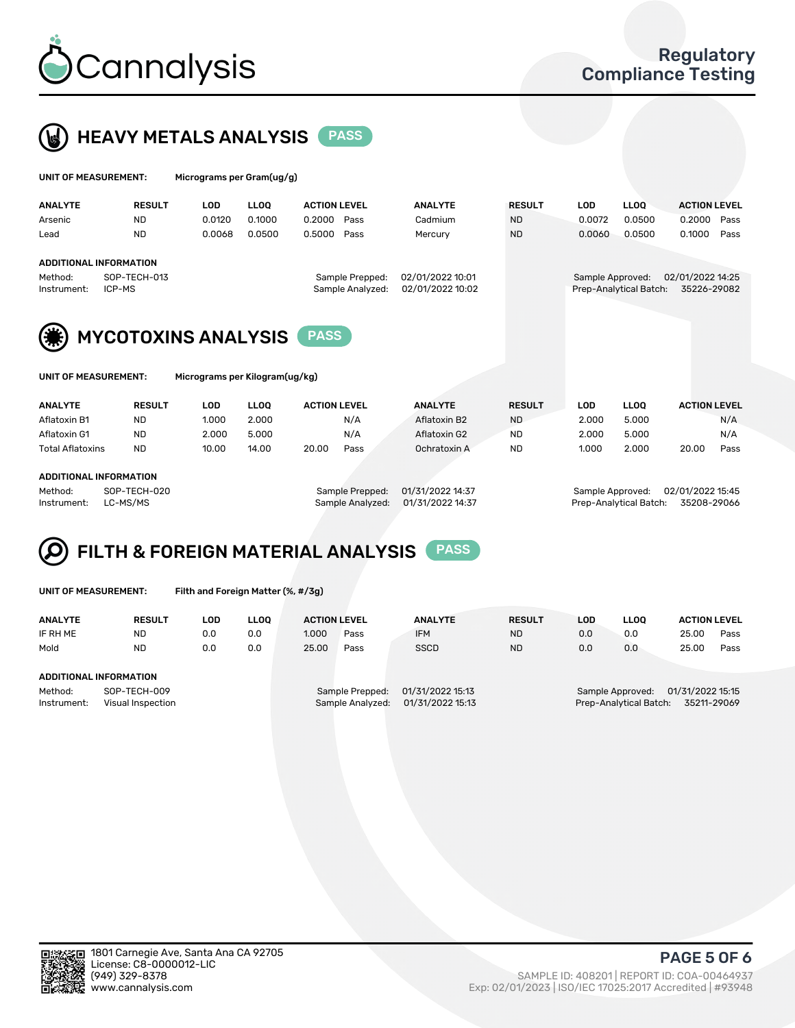



| UNIT OF MEASUREMENT:   |                        | Micrograms per Gram(ug/g) |             |                                     |                                      |               |                  |                        |                                 |  |  |
|------------------------|------------------------|---------------------------|-------------|-------------------------------------|--------------------------------------|---------------|------------------|------------------------|---------------------------------|--|--|
| <b>ANALYTE</b>         | <b>RESULT</b>          | <b>LOD</b>                | <b>LLOO</b> | <b>ACTION LEVEL</b>                 | <b>ANALYTE</b>                       | <b>RESULT</b> | LOD              | <b>LLOO</b>            | <b>ACTION LEVEL</b>             |  |  |
| Arsenic                | <b>ND</b>              | 0.0120                    | 0.1000      | 0.2000<br>Pass                      | Cadmium                              | <b>ND</b>     | 0.0072           | 0.0500                 | 0.2000<br>Pass                  |  |  |
| Lead                   | <b>ND</b>              | 0.0068                    | 0.0500      | 0.5000<br>Pass                      | Mercury                              | <b>ND</b>     | 0.0060           | 0.0500                 | 0.1000<br>Pass                  |  |  |
| ADDITIONAL INFORMATION |                        |                           |             |                                     |                                      |               |                  |                        |                                 |  |  |
| Method:<br>Instrument: | SOP-TECH-013<br>ICP-MS |                           |             | Sample Prepped:<br>Sample Analyzed: | 02/01/2022 10:01<br>02/01/2022 10:02 |               | Sample Approved: | Prep-Analytical Batch: | 02/01/2022 14:25<br>35226-29082 |  |  |





MYCOTOXINS ANALYSIS PASS

| UNIT OF MEASUREMENT: |  |
|----------------------|--|
|----------------------|--|

Micrograms per Kilogram(ug/kg)

| <b>ANALYTE</b>          | <b>RESULT</b> | LOD   | <b>LLOO</b> | <b>ACTION LEVEL</b> |      | <b>ANALYTE</b> | <b>RESULT</b> | LOD   | <b>LLOO</b> | <b>ACTION LEVEL</b> |      |
|-------------------------|---------------|-------|-------------|---------------------|------|----------------|---------------|-------|-------------|---------------------|------|
| Aflatoxin B1            | <b>ND</b>     | 1.000 | 2.000       |                     | N/A  | Aflatoxin B2   | <b>ND</b>     | 2.000 | 5.000       |                     | N/A  |
| Aflatoxin G1            | <b>ND</b>     | 2.000 | 5.000       |                     | N/A  | Aflatoxin G2   | <b>ND</b>     | 2.000 | 5.000       |                     | N/A  |
| <b>Total Aflatoxins</b> | <b>ND</b>     | 10.00 | 14.00       | 20.00               | Pass | Ochratoxin A   | <b>ND</b>     | 1.000 | 2.000       | 20.00               | Pass |
|                         |               |       |             |                     |      |                |               |       |             |                     |      |

### ADDITIONAL INFORMATION

Method: SOP-TECH-020 Sample Prepped: 01/31/2022 14:37 Sample Approved: 02/01/2022 15:45 Instrument: LC-MS/MS Sample Analyzed: 01/31/2022 14:37 Prep-Analytical Batch: 35208-29066

# FILTH & FOREIGN MATERIAL ANALYSIS PASS

UNIT OF MEASUREMENT: Filth and Foreign Matter (%, #/3g)

| <b>ANALYTE</b>                                              | <b>RESULT</b> | LOD | <b>LLOO</b> | <b>ACTION LEVEL</b>                                                         |      | <b>ANALYTE</b> | <b>RESULT</b> | LOD                                                                        | <b>LLOO</b> | <b>ACTION LEVEL</b> |      |
|-------------------------------------------------------------|---------------|-----|-------------|-----------------------------------------------------------------------------|------|----------------|---------------|----------------------------------------------------------------------------|-------------|---------------------|------|
| IF RH ME                                                    | <b>ND</b>     | 0.0 | 0.0         | 1.000                                                                       | Pass | <b>IFM</b>     | <b>ND</b>     | 0.0                                                                        | 0.0         | 25.00               | Pass |
| Mold                                                        | <b>ND</b>     | 0.0 | 0.0         | 25.00                                                                       | Pass | <b>SSCD</b>    | <b>ND</b>     | 0.0                                                                        | 0.0         | 25.00               | Pass |
| ADDITIONAL INFORMATION                                      |               |     |             |                                                                             |      |                |               |                                                                            |             |                     |      |
| Method:<br>SOP-TECH-009<br>Instrument:<br>Visual Inspection |               |     |             | 01/31/2022 15:13<br>Sample Prepped:<br>01/31/2022 15:13<br>Sample Analyzed: |      |                |               | 01/31/2022 15:15<br>Sample Approved:<br>Prep-Analytical Batch: 35211-29069 |             |                     |      |